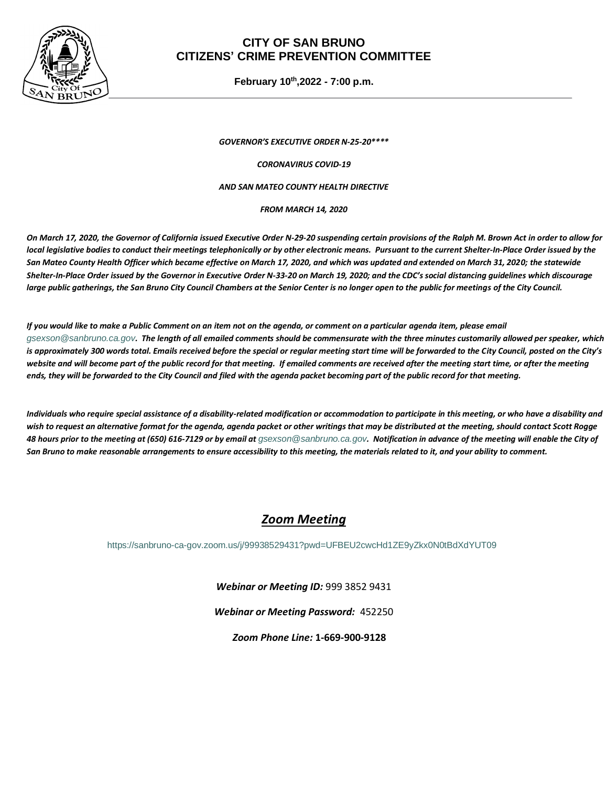

## **CITY OF SAN BRUNO CITIZENS' CRIME PREVENTION COMMITTEE**

**February 10 th ,2022 - 7:00 p.m.**

*GOVERNOR'S EXECUTIVE ORDER N-25-20\*\*\*\**

*CORONAVIRUS COVID-19*

#### *AND SAN MATEO COUNTY HEALTH DIRECTIVE*

*FROM MARCH 14, 2020*

*On March 17, 2020, the Governor of California issued Executive Order N-29-20 suspending certain provisions of the Ralph M. Brown Act in order to allow for local legislative bodies to conduct their meetings telephonically or by other electronic means. Pursuant to the current Shelter-In-Place Order issued by the San Mateo County Health Officer which became effective on March 17, 2020, and which was updated and extended on March 31, 2020; the statewide Shelter-In-Place Order issued by the Governor in Executive Order N-33-20 on March 19, 2020; and the CDC's social distancing guidelines which discourage large public gatherings, the San Bruno City Council Chambers at the Senior Center is no longer open to the public for meetings of the City Council.* 

*If you would like to make a Public Comment on an item not on the agenda, or comment on a particular agenda item, please email [gsexson@sanbruno.ca.gov](mailto:gsexson@sanbruno.ca.gov). The length of all emailed comments should be commensurate with the three minutes customarily allowed per speaker, which is approximately 300 words total. Emails received before the special or regular meeting start time will be forwarded to the City Council, posted on the City's*  website and will become part of the public record for that meeting. If emailed comments are received after the meeting start time, or after the meeting *ends, they will be forwarded to the City Council and filed with the agenda packet becoming part of the public record for that meeting.* 

*Individuals who require special assistance of a disability-related modification or accommodation to participate in this meeting, or who have a disability and*  wish to request an alternative format for the agenda, agenda packet or other writings that may be distributed at the meeting, should contact Scott Rogge *48 hours prior to the meeting at (650) 616-7129 or by email at [gsexson@sanbruno.ca.gov](mailto:gsexson@sanbruno.ca.gov). Notification in advance of the meeting will enable the City of San Bruno to make reasonable arrangements to ensure accessibility to this meeting, the materials related to it, and your ability to comment.*

# *Zoom Meeting*

<https://sanbruno-ca-gov.zoom.us/j/99938529431?pwd=UFBEU2cwcHd1ZE9yZkx0N0tBdXdYUT09>

*Webinar or Meeting ID:* 999 3852 9431

*Webinar or Meeting Password:* 452250

*Zoom Phone Line:* **1-669-900-9128**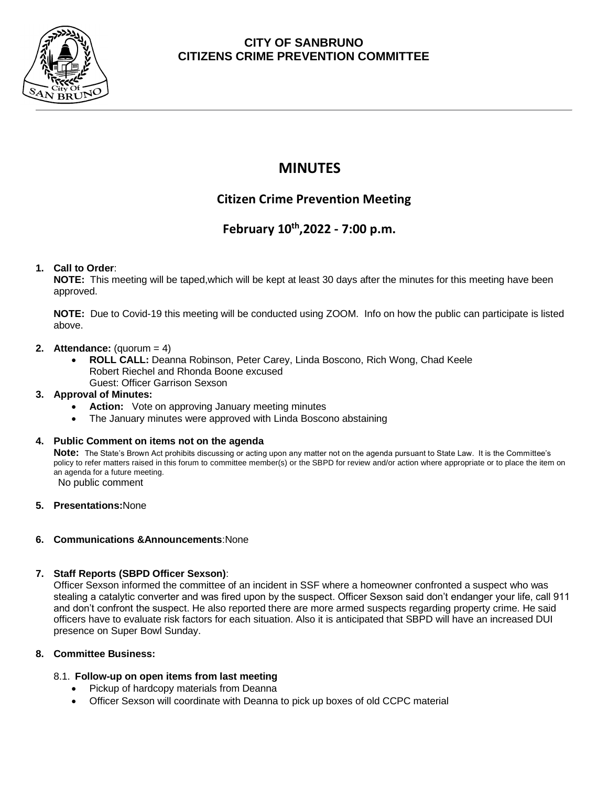

# **CITY OF SANBRUNO CITIZENS CRIME PREVENTION COMMITTEE**

# **MINUTES**

# **Citizen Crime Prevention Meeting**

# **February 10 th ,2022 - 7:00 p.m.**

## **1. Call to Order**:

**NOTE:** This meeting will be taped,which will be kept at least 30 days after the minutes for this meeting have been approved.

**NOTE:** Due to Covid-19 this meeting will be conducted using ZOOM. Info on how the public can participate is listed above.

### **2. Attendance:** (quorum = 4)

• **ROLL CALL:** Deanna Robinson, Peter Carey, Linda Boscono, Rich Wong, Chad Keele Robert Riechel and Rhonda Boone excused Guest: Officer Garrison Sexson

## **3. Approval of Minutes:**

- Action: Vote on approving January meeting minutes
- The January minutes were approved with Linda Boscono abstaining

### **4. Public Comment on items not on the agenda**

**Note:** The State's Brown Act prohibits discussing or acting upon any matter not on the agenda pursuant to State Law. It is the Committee's policy to refer matters raised in this forum to committee member(s) or the SBPD for review and/or action where appropriate or to place the item on an agenda for a future meeting. No public comment

**5. Presentations:**None

## **6. Communications &Announcements**:None

### **7. Staff Reports (SBPD Officer Sexson)**:

Officer Sexson informed the committee of an incident in SSF where a homeowner confronted a suspect who was stealing a catalytic converter and was fired upon by the suspect. Officer Sexson said don't endanger your life, call 911 and don't confront the suspect. He also reported there are more armed suspects regarding property crime. He said officers have to evaluate risk factors for each situation. Also it is anticipated that SBPD will have an increased DUI presence on Super Bowl Sunday.

### **8. Committee Business:**

## 8.1. **Follow-up on open items from last meeting**

- Pickup of hardcopy materials from Deanna
- Officer Sexson will coordinate with Deanna to pick up boxes of old CCPC material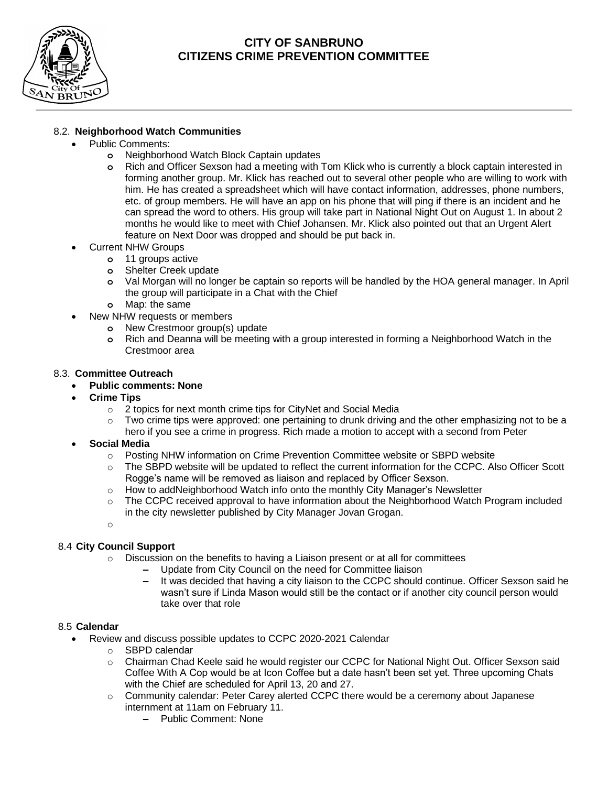

## **CITY OF SANBRUNO CITIZENS CRIME PREVENTION COMMITTEE**

### 8.2. **Neighborhood Watch Communities**

- Public Comments:
	- **o** Neighborhood Watch Block Captain updates
	- **o** Rich and Officer Sexson had a meeting with Tom Klick who is currently a block captain interested in forming another group. Mr. Klick has reached out to several other people who are willing to work with him. He has created a spreadsheet which will have contact information, addresses, phone numbers, etc. of group members. He will have an app on his phone that will ping if there is an incident and he can spread the word to others. His group will take part in National Night Out on August 1. In about 2 months he would like to meet with Chief Johansen. Mr. Klick also pointed out that an Urgent Alert feature on Next Door was dropped and should be put back in.
- Current NHW Groups
	- **o** 11 groups active
	- **o** Shelter Creek update
	- **o** Val Morgan will no longer be captain so reports will be handled by the HOA general manager. In April the group will participate in a Chat with the Chief
	- **o** Map: the same
- New NHW requests or members
	- **o** New Crestmoor group(s) update
	- **o** Rich and Deanna will be meeting with a group interested in forming a Neighborhood Watch in the Crestmoor area

#### 8.3. **Committee Outreach**

- **Public comments: None**
- **Crime Tips**
	- o 2 topics for next month crime tips for CityNet and Social Media
	- $\circ$  Two crime tips were approved: one pertaining to drunk driving and the other emphasizing not to be a hero if you see a crime in progress. Rich made a motion to accept with a second from Peter
- **Social Media** 
	- o Posting NHW information on Crime Prevention Committee website or SBPD website
	- o The SBPD website will be updated to reflect the current information for the CCPC. Also Officer Scott Rogge's name will be removed as liaison and replaced by Officer Sexson.
	- $\circ$  How to addNeighborhood Watch info onto the monthly City Manager's Newsletter
	- o The CCPC received approval to have information about the Neighborhood Watch Program included in the city newsletter published by City Manager Jovan Grogan.

o

### 8.4 **City Council Support**

- $\circ$  Discussion on the benefits to having a Liaison present or at all for committees
	- **–** Update from City Council on the need for Committee liaison
	- **–** It was decided that having a city liaison to the CCPC should continue. Officer Sexson said he wasn't sure if Linda Mason would still be the contact or if another city council person would take over that role

#### 8.5 **Calendar**

- Review and discuss possible updates to CCPC 2020-2021 Calendar
	- o SBPD calendar
	- o Chairman Chad Keele said he would register our CCPC for National Night Out. Officer Sexson said Coffee With A Cop would be at Icon Coffee but a date hasn't been set yet. Three upcoming Chats with the Chief are scheduled for April 13, 20 and 27.
	- $\circ$  Community calendar: Peter Carey alerted CCPC there would be a ceremony about Japanese internment at 11am on February 11.
		- **–** Public Comment: None